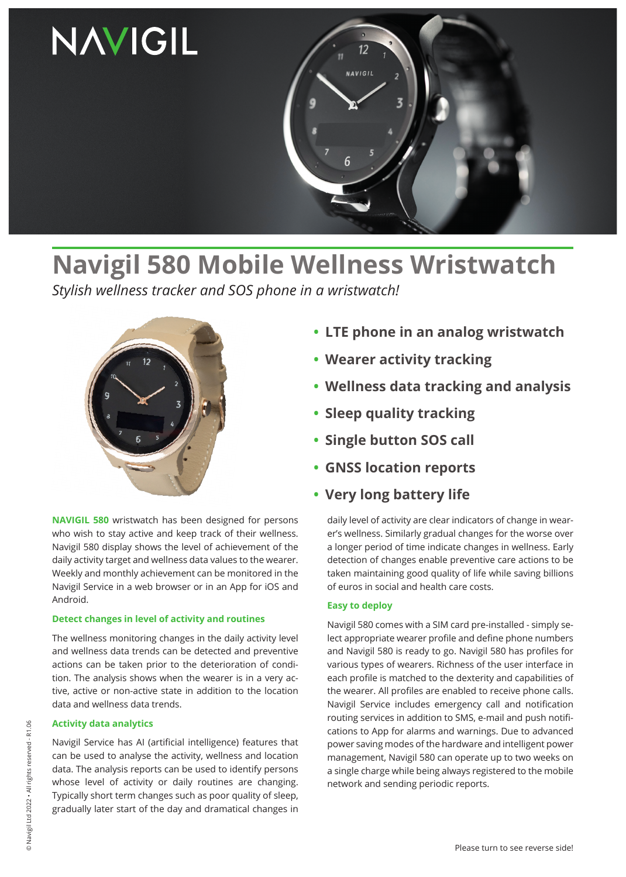

# **Navigil 580 Mobile Wellness Wristwatch**

*Stylish wellness tracker and SOS phone in a wristwatch!*



**NAVIGIL 580** wristwatch has been designed for persons who wish to stay active and keep track of their wellness. Navigil 580 display shows the level of achievement of the daily activity target and wellness data values to the wearer. Weekly and monthly achievement can be monitored in the Navigil Service in a web browser or in an App for iOS and Android.

#### **Detect changes in level of activity and routines**

The wellness monitoring changes in the daily activity level and wellness data trends can be detected and preventive actions can be taken prior to the deterioration of condition. The analysis shows when the wearer is in a very active, active or non-active state in addition to the location data and wellness data trends.

#### **Activity data analytics**

Navigil Service has AI (artificial intelligence) features that can be used to analyse the activity, wellness and location data. The analysis reports can be used to identify persons whose level of activity or daily routines are changing. Typically short term changes such as poor quality of sleep, gradually later start of the day and dramatical changes in

- **• LTE phone in an analog wristwatch**
- **• Wearer activity tracking**
- **• Wellness data tracking and analysis**
- **• Sleep quality tracking**
- **• Single button SOS call**
- **• GNSS location reports**
- **• Very long battery life**

daily level of activity are clear indicators of change in wearer's wellness. Similarly gradual changes for the worse over a longer period of time indicate changes in wellness. Early detection of changes enable preventive care actions to be taken maintaining good quality of life while saving billions of euros in social and health care costs.

#### **Easy to deploy**

Navigil 580 comes with a SIM card pre-installed - simply select appropriate wearer profile and define phone numbers and Navigil 580 is ready to go. Navigil 580 has profiles for various types of wearers. Richness of the user interface in each profile is matched to the dexterity and capabilities of the wearer. All profiles are enabled to receive phone calls. Navigil Service includes emergency call and notification routing services in addition to SMS, e-mail and push notifications to App for alarms and warnings. Due to advanced power saving modes of the hardware and intelligent power management, Navigil 580 can operate up to two weeks on a single charge while being always registered to the mobile network and sending periodic reports.